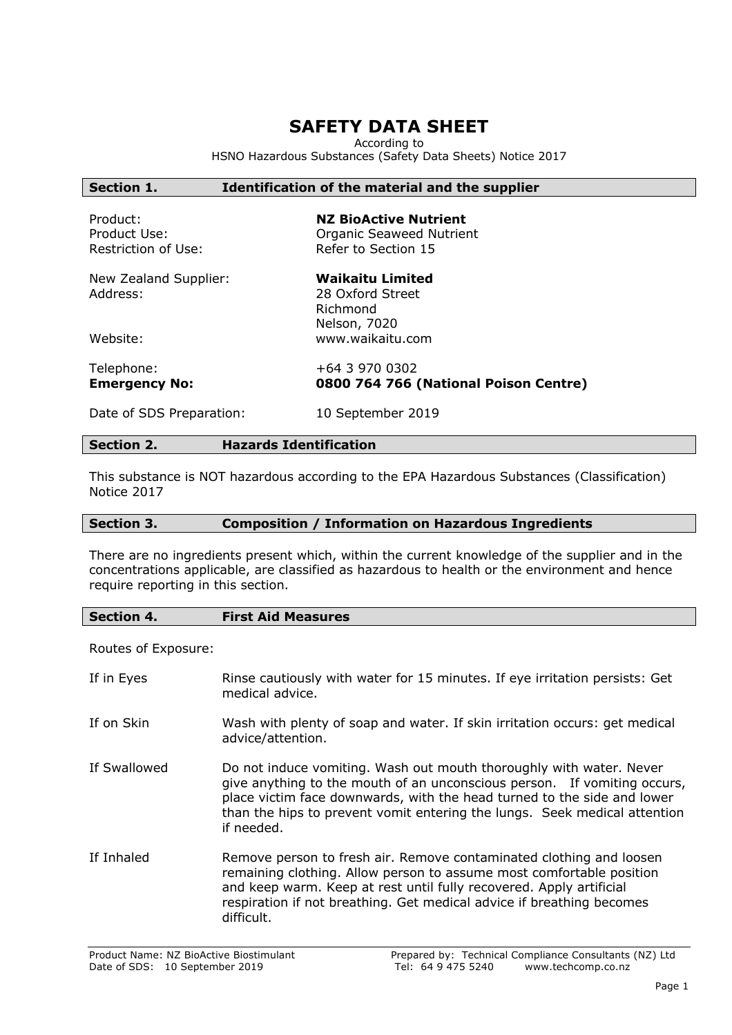## **SAFETY DATA SHEET**

According to

HSNO Hazardous Substances (Safety Data Sheets) Notice 2017

#### **Section 1. Identification of the material and the supplier**

Product: **NZ BioActive Nutrient** Product Use: Care and Companic Seaweed Nutrient Restriction of Use: Refer to Section 15

|          | New Zealand Supplier: |
|----------|-----------------------|
| Address: |                       |

**Waikaitu Limited** 28 Oxford Street Richmond Nelson, 7020 Website: www.waikaitu.com

Telephone: +64 3 970 0302<br> **Emergency No: 0800 764 766** 

**Emergency No: 0800 764 766 (National Poison Centre)**

Date of SDS Preparation: 10 September 2019

#### **Section 2. Hazards Identification**

This substance is NOT hazardous according to the EPA Hazardous Substances (Classification) Notice 2017

#### **Section 3. Composition / Information on Hazardous Ingredients**

There are no ingredients present which, within the current knowledge of the supplier and in the concentrations applicable, are classified as hazardous to health or the environment and hence require reporting in this section.

**Section 4. First Aid Measures**

Routes of Exposure:

| If in Eyes   | Rinse cautiously with water for 15 minutes. If eye irritation persists: Get<br>medical advice.                                                                                                                                                                                                                        |
|--------------|-----------------------------------------------------------------------------------------------------------------------------------------------------------------------------------------------------------------------------------------------------------------------------------------------------------------------|
| If on Skin   | Wash with plenty of soap and water. If skin irritation occurs: get medical<br>advice/attention.                                                                                                                                                                                                                       |
| If Swallowed | Do not induce vomiting. Wash out mouth thoroughly with water. Never<br>give anything to the mouth of an unconscious person. If vomiting occurs,<br>place victim face downwards, with the head turned to the side and lower<br>than the hips to prevent vomit entering the lungs. Seek medical attention<br>if needed. |
| If Inhaled   | Remove person to fresh air. Remove contaminated clothing and loosen<br>remaining clothing. Allow person to assume most comfortable position<br>and keep warm. Keep at rest until fully recovered. Apply artificial<br>respiration if not breathing. Get medical advice if breathing becomes<br>difficult.             |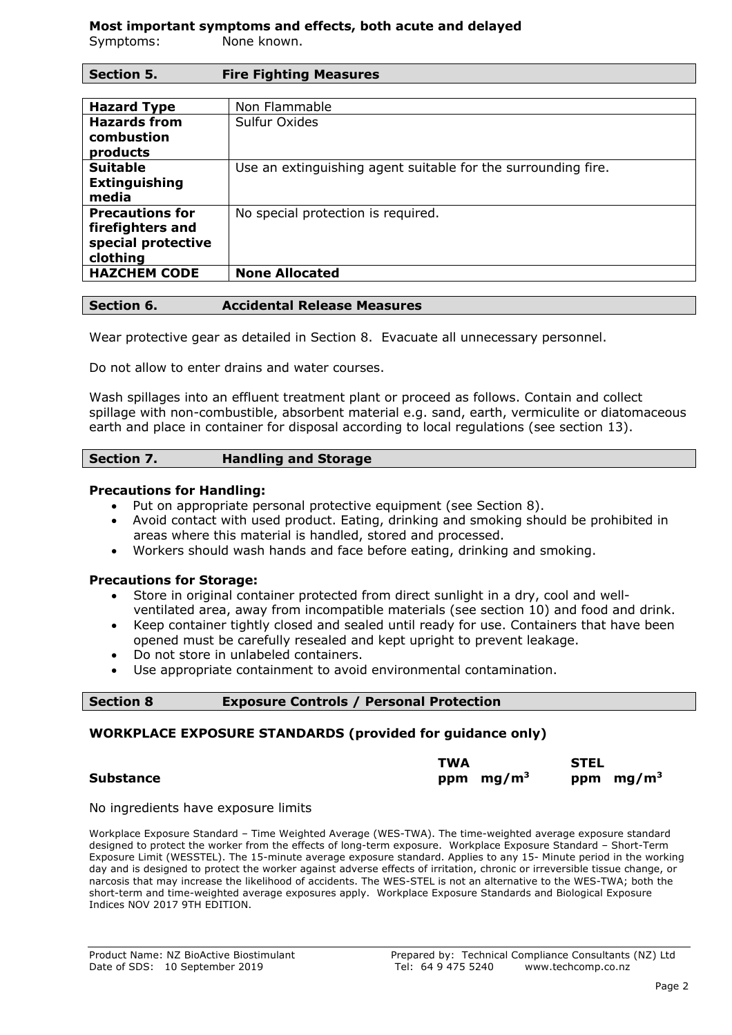# **Most important symptoms and effects, both acute and delayed**

Symptoms: None known.

**Section 5. Fire Fighting Measures**

| <b>Hazard Type</b>                                                           | Non Flammable                                                 |
|------------------------------------------------------------------------------|---------------------------------------------------------------|
| <b>Hazards from</b><br>combustion<br>products                                | Sulfur Oxides                                                 |
| <b>Suitable</b><br><b>Extinguishing</b><br>media                             | Use an extinguishing agent suitable for the surrounding fire. |
| <b>Precautions for</b><br>firefighters and<br>special protective<br>clothing | No special protection is required.                            |
| <b>HAZCHEM CODE</b>                                                          | <b>None Allocated</b>                                         |

#### **Section 6. Accidental Release Measures**

Wear protective gear as detailed in Section 8. Evacuate all unnecessary personnel.

Do not allow to enter drains and water courses.

Wash spillages into an effluent treatment plant or proceed as follows. Contain and collect spillage with non-combustible, absorbent material e.g. sand, earth, vermiculite or diatomaceous earth and place in container for disposal according to local regulations (see section 13).

## **Section 7. Handling and Storage**

#### **Precautions for Handling:**

- Put on appropriate personal protective equipment (see Section 8).
- Avoid contact with used product. Eating, drinking and smoking should be prohibited in areas where this material is handled, stored and processed.
- Workers should wash hands and face before eating, drinking and smoking.

## **Precautions for Storage:**

- Store in original container protected from direct sunlight in a dry, cool and wellventilated area, away from incompatible materials (see section 10) and food and drink.
- Keep container tightly closed and sealed until ready for use. Containers that have been opened must be carefully resealed and kept upright to prevent leakage.
- Do not store in unlabeled containers.
- Use appropriate containment to avoid environmental contamination.

| <b>Exposure Controls / Personal Protection</b><br><b>Section 8</b> |  |
|--------------------------------------------------------------------|--|
|--------------------------------------------------------------------|--|

## **WORKPLACE EXPOSURE STANDARDS (provided for guidance only)**

| <b>STEL</b>                |
|----------------------------|
| ppm $mg/m3$<br>ppm $mg/m3$ |
|                            |

No ingredients have exposure limits

Workplace Exposure Standard – Time Weighted Average (WES-TWA). The time-weighted average exposure standard designed to protect the worker from the effects of long-term exposure. Workplace Exposure Standard – Short-Term Exposure Limit (WESSTEL). The 15-minute average exposure standard. Applies to any 15- Minute period in the working day and is designed to protect the worker against adverse effects of irritation, chronic or irreversible tissue change, or narcosis that may increase the likelihood of accidents. The WES-STEL is not an alternative to the WES-TWA; both the short-term and time-weighted average exposures apply. Workplace Exposure Standards and Biological Exposure Indices NOV 2017 9TH EDITION.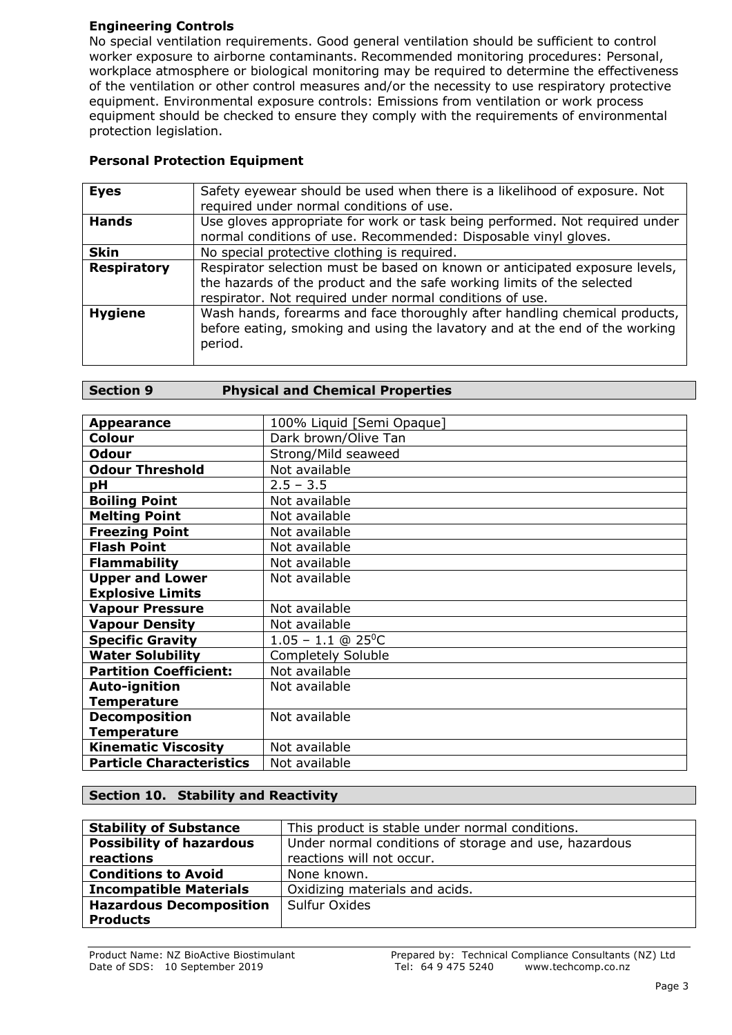## **Engineering Controls**

No special ventilation requirements. Good general ventilation should be sufficient to control worker exposure to airborne contaminants. Recommended monitoring procedures: Personal, workplace atmosphere or biological monitoring may be required to determine the effectiveness of the ventilation or other control measures and/or the necessity to use respiratory protective equipment. Environmental exposure controls: Emissions from ventilation or work process equipment should be checked to ensure they comply with the requirements of environmental protection legislation.

## **Personal Protection Equipment**

| <b>Eyes</b>        | Safety eyewear should be used when there is a likelihood of exposure. Not   |
|--------------------|-----------------------------------------------------------------------------|
|                    | required under normal conditions of use.                                    |
| <b>Hands</b>       | Use gloves appropriate for work or task being performed. Not required under |
|                    | normal conditions of use. Recommended: Disposable vinyl gloves.             |
| <b>Skin</b>        | No special protective clothing is required.                                 |
| <b>Respiratory</b> | Respirator selection must be based on known or anticipated exposure levels, |
|                    | the hazards of the product and the safe working limits of the selected      |
|                    | respirator. Not required under normal conditions of use.                    |
| <b>Hygiene</b>     | Wash hands, forearms and face thoroughly after handling chemical products,  |
|                    | before eating, smoking and using the lavatory and at the end of the working |
|                    | period.                                                                     |
|                    |                                                                             |

| <b>Appearance</b>               | 100% Liquid [Semi Opaque]        |
|---------------------------------|----------------------------------|
| <b>Colour</b>                   | Dark brown/Olive Tan             |
| <b>Odour</b>                    | Strong/Mild seaweed              |
| <b>Odour Threshold</b>          | Not available                    |
| рH                              | $2.5 - 3.5$                      |
| <b>Boiling Point</b>            | Not available                    |
| <b>Melting Point</b>            | Not available                    |
| <b>Freezing Point</b>           | Not available                    |
| <b>Flash Point</b>              | Not available                    |
| <b>Flammability</b>             | Not available                    |
| <b>Upper and Lower</b>          | Not available                    |
| <b>Explosive Limits</b>         |                                  |
| <b>Vapour Pressure</b>          | Not available                    |
| <b>Vapour Density</b>           | Not available                    |
| <b>Specific Gravity</b>         | $1.05 - 1.1$ @ 25 <sup>o</sup> C |
| <b>Water Solubility</b>         | <b>Completely Soluble</b>        |
| <b>Partition Coefficient:</b>   | Not available                    |
| <b>Auto-ignition</b>            | Not available                    |
| <b>Temperature</b>              |                                  |
| <b>Decomposition</b>            | Not available                    |
| <b>Temperature</b>              |                                  |
| <b>Kinematic Viscosity</b>      | Not available                    |
| <b>Particle Characteristics</b> | Not available                    |

## **Section 10. Stability and Reactivity**

| <b>Stability of Substance</b>                                                            | This product is stable under normal conditions. |
|------------------------------------------------------------------------------------------|-------------------------------------------------|
| <b>Possibility of hazardous</b><br>Under normal conditions of storage and use, hazardous |                                                 |
| reactions                                                                                | reactions will not occur.                       |
| <b>Conditions to Avoid</b>                                                               | None known.                                     |
| <b>Incompatible Materials</b>                                                            | Oxidizing materials and acids.                  |
| <b>Hazardous Decomposition</b>                                                           | Sulfur Oxides                                   |
| <b>Products</b>                                                                          |                                                 |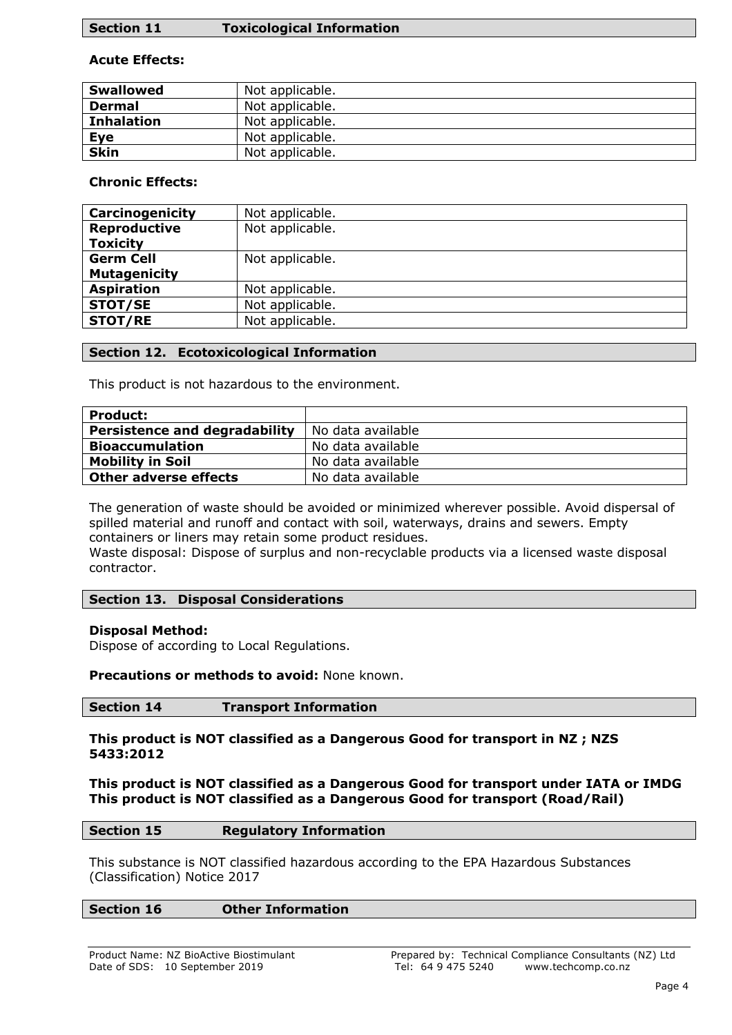## **Section 11 Toxicological Information**

## **Acute Effects:**

| <b>Swallowed</b>  | Not applicable. |
|-------------------|-----------------|
| <b>Dermal</b>     | Not applicable. |
| <b>Inhalation</b> | Not applicable. |
| Eye               | Not applicable. |
| <b>Skin</b>       | Not applicable. |

## **Chronic Effects:**

| Carcinogenicity     | Not applicable. |
|---------------------|-----------------|
| <b>Reproductive</b> | Not applicable. |
| <b>Toxicity</b>     |                 |
| <b>Germ Cell</b>    | Not applicable. |
| <b>Mutagenicity</b> |                 |
| <b>Aspiration</b>   | Not applicable. |
| STOT/SE             | Not applicable. |
| <b>STOT/RE</b>      | Not applicable. |

## **Section 12. Ecotoxicological Information**

This product is not hazardous to the environment.

| <b>Product:</b>                      |                   |
|--------------------------------------|-------------------|
| <b>Persistence and degradability</b> | No data available |
| <b>Bioaccumulation</b>               | No data available |
| <b>Mobility in Soil</b>              | No data available |
| <b>Other adverse effects</b>         | No data available |

The generation of waste should be avoided or minimized wherever possible. Avoid dispersal of spilled material and runoff and contact with soil, waterways, drains and sewers. Empty containers or liners may retain some product residues.

Waste disposal: Dispose of surplus and non-recyclable products via a licensed waste disposal contractor.

## **Section 13. Disposal Considerations**

## **Disposal Method:**

Dispose of according to Local Regulations.

## **Precautions or methods to avoid:** None known.

## **Section 14 Transport Information**

#### **This product is NOT classified as a Dangerous Good for transport in NZ ; NZS 5433:2012**

**This product is NOT classified as a Dangerous Good for transport under IATA or IMDG This product is NOT classified as a Dangerous Good for transport (Road/Rail)**

## **Section 15 Regulatory Information**

This substance is NOT classified hazardous according to the EPA Hazardous Substances (Classification) Notice 2017

## **Section 16 Other Information**